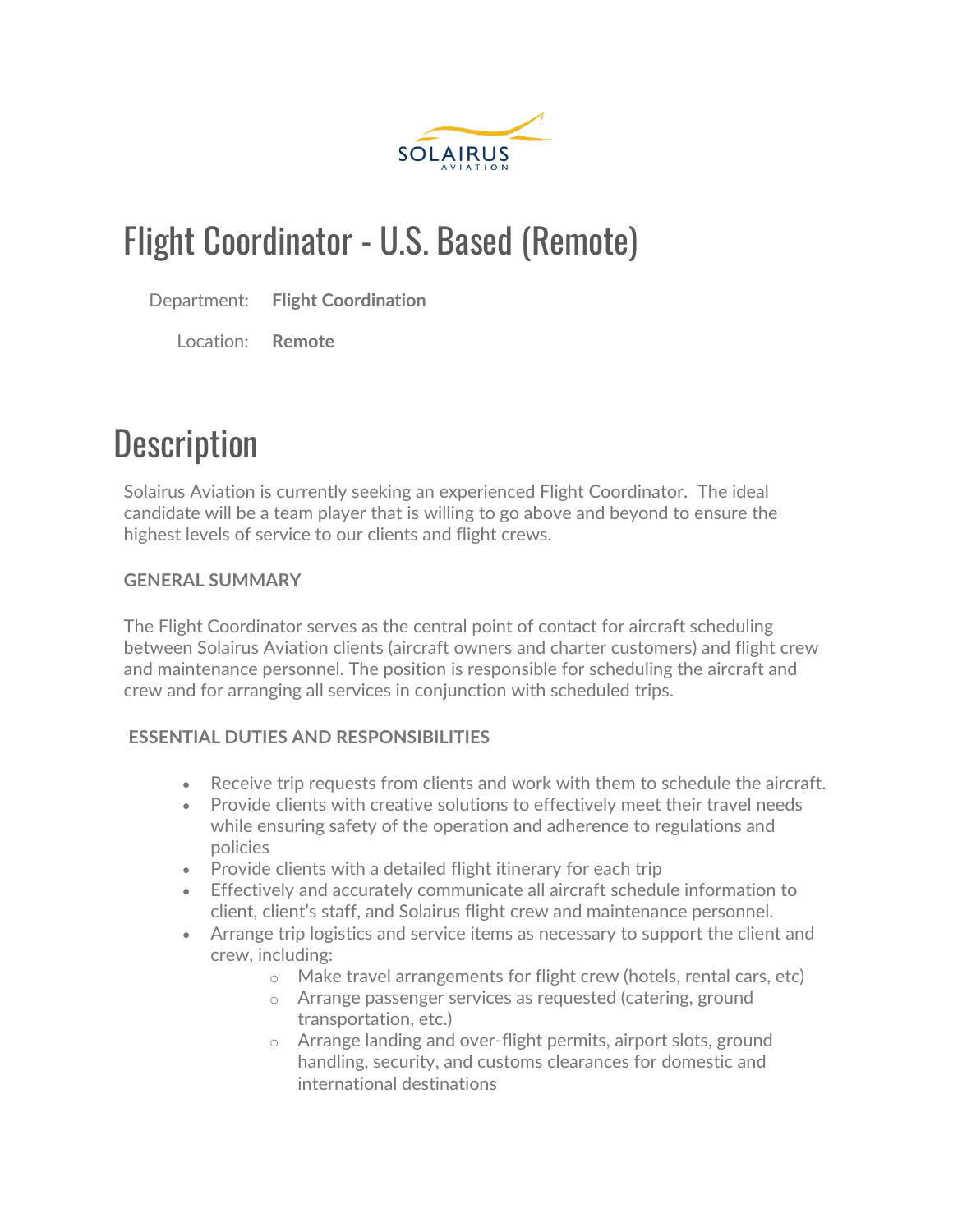

### Flight Coordinator - U.S. Based (Remote)

Department: **Flight Coordination**

Location: **Remote**

## **Description**

Solairus Aviation is currently seeking an experienced Flight Coordinator. The ideal candidate will be a team player that is willing to go above and beyond to ensure the highest levels of service to our clients and flight crews.

#### **GENERAL SUMMARY**

The Flight Coordinator serves as the central point of contact for aircraft scheduling between Solairus Aviation clients (aircraft owners and charter customers) and flight crew and maintenance personnel. The position is responsible for scheduling the aircraft and crew and for arranging all services in conjunction with scheduled trips.

#### **ESSENTIAL DUTIES AND RESPONSIBILITIES**

- Receive trip requests from clients and work with them to schedule the aircraft.
- Provide clients with creative solutions to effectively meet their travel needs while ensuring safety of the operation and adherence to regulations and policies
- Provide clients with a detailed flight itinerary for each trip
- Effectively and accurately communicate all aircraft schedule information to client, client's staff, and Solairus flight crew and maintenance personnel.
- Arrange trip logistics and service items as necessary to support the client and crew, including:
	- o Make travel arrangements for flight crew (hotels, rental cars, etc)
	- o Arrange passenger services as requested (catering, ground transportation, etc.)
	- o Arrange landing and over-flight permits, airport slots, ground handling, security, and customs clearances for domestic and international destinations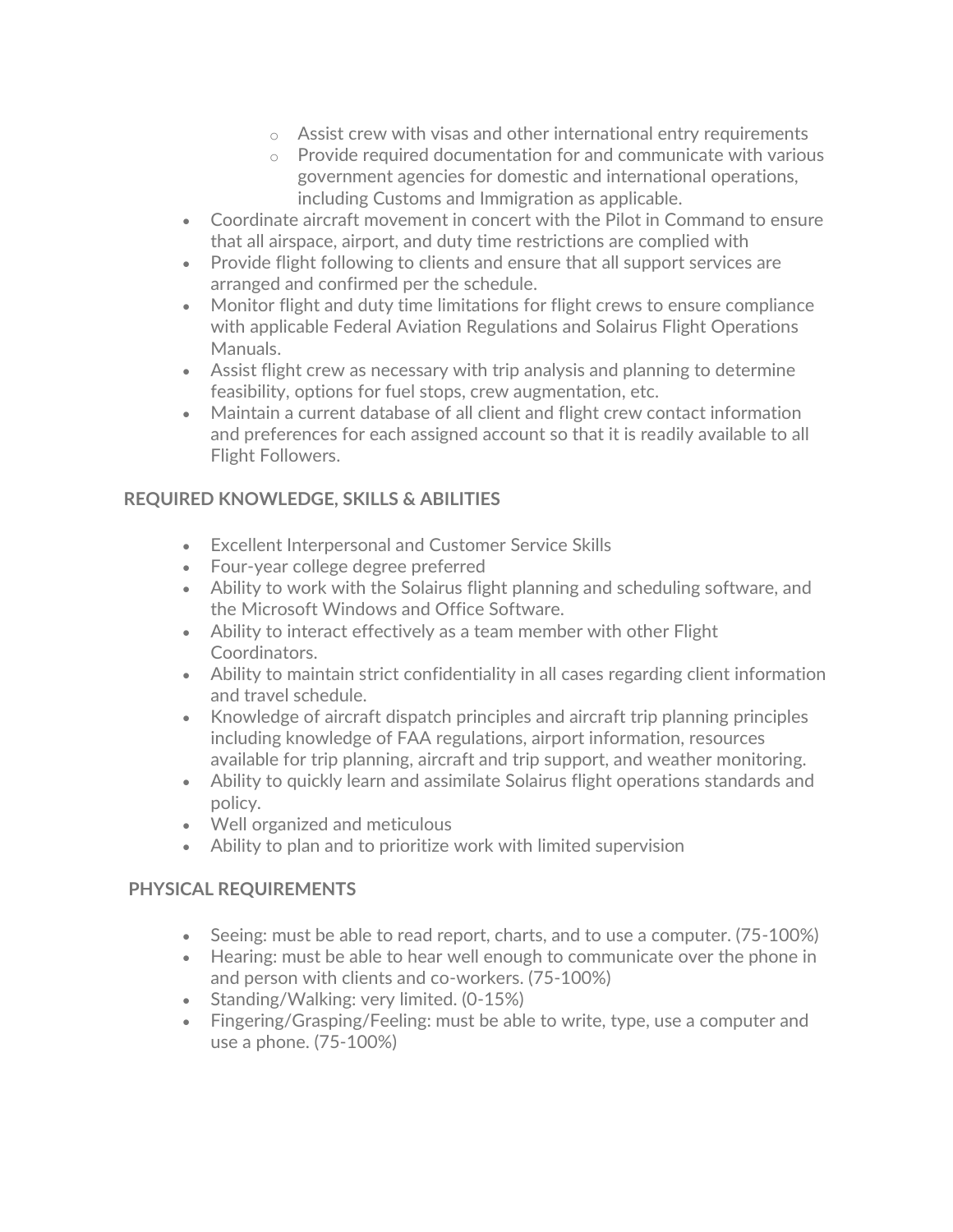- $\circ$  Assist crew with visas and other international entry requirements
- o Provide required documentation for and communicate with various government agencies for domestic and international operations, including Customs and Immigration as applicable.
- Coordinate aircraft movement in concert with the Pilot in Command to ensure that all airspace, airport, and duty time restrictions are complied with
- Provide flight following to clients and ensure that all support services are arranged and confirmed per the schedule.
- Monitor flight and duty time limitations for flight crews to ensure compliance with applicable Federal Aviation Regulations and Solairus Flight Operations Manuals.
- Assist flight crew as necessary with trip analysis and planning to determine feasibility, options for fuel stops, crew augmentation, etc.
- Maintain a current database of all client and flight crew contact information and preferences for each assigned account so that it is readily available to all Flight Followers.

#### **REQUIRED KNOWLEDGE, SKILLS & ABILITIES**

- Excellent Interpersonal and Customer Service Skills
- Four-year college degree preferred
- Ability to work with the Solairus flight planning and scheduling software, and the Microsoft Windows and Office Software.
- Ability to interact effectively as a team member with other Flight Coordinators.
- Ability to maintain strict confidentiality in all cases regarding client information and travel schedule.
- Knowledge of aircraft dispatch principles and aircraft trip planning principles including knowledge of FAA regulations, airport information, resources available for trip planning, aircraft and trip support, and weather monitoring.
- Ability to quickly learn and assimilate Solairus flight operations standards and policy.
- Well organized and meticulous
- Ability to plan and to prioritize work with limited supervision

#### **PHYSICAL REQUIREMENTS**

- Seeing: must be able to read report, charts, and to use a computer. (75-100%)
- Hearing: must be able to hear well enough to communicate over the phone in and person with clients and co-workers. (75-100%)
- Standing/Walking: very limited. (0-15%)
- Fingering/Grasping/Feeling: must be able to write, type, use a computer and use a phone. (75-100%)